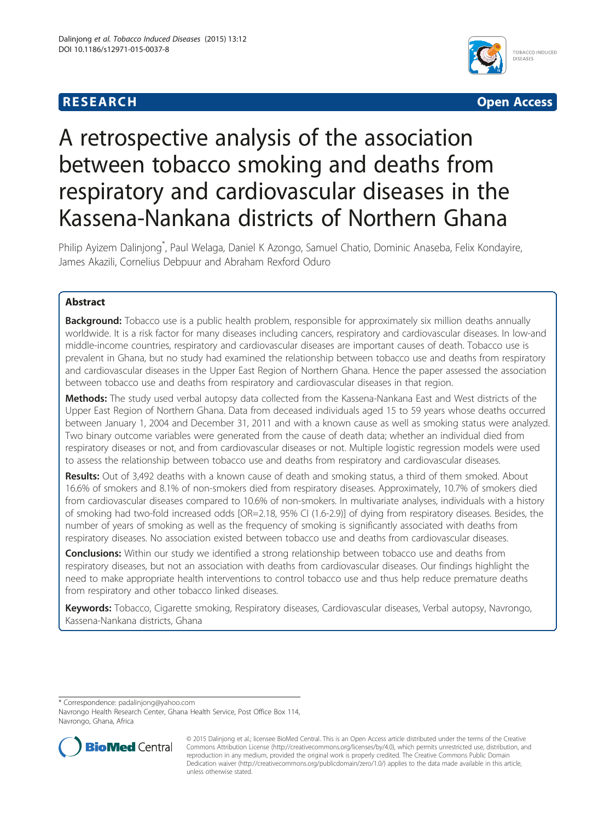## **RESEARCH CHEAR CHEAR CHEAR CHEAR CHEAR CHEAR CHEAR CHEAR CHEAR CHEAR CHEAR CHEAR CHEAR CHEAR CHEAR CHEAR CHEAR**



# A retrospective analysis of the association between tobacco smoking and deaths from respiratory and cardiovascular diseases in the Kassena-Nankana districts of Northern Ghana

Philip Ayizem Dalinjong\* , Paul Welaga, Daniel K Azongo, Samuel Chatio, Dominic Anaseba, Felix Kondayire, James Akazili, Cornelius Debpuur and Abraham Rexford Oduro

## Abstract

Background: Tobacco use is a public health problem, responsible for approximately six million deaths annually worldwide. It is a risk factor for many diseases including cancers, respiratory and cardiovascular diseases. In low-and middle-income countries, respiratory and cardiovascular diseases are important causes of death. Tobacco use is prevalent in Ghana, but no study had examined the relationship between tobacco use and deaths from respiratory and cardiovascular diseases in the Upper East Region of Northern Ghana. Hence the paper assessed the association between tobacco use and deaths from respiratory and cardiovascular diseases in that region.

Methods: The study used verbal autopsy data collected from the Kassena-Nankana East and West districts of the Upper East Region of Northern Ghana. Data from deceased individuals aged 15 to 59 years whose deaths occurred between January 1, 2004 and December 31, 2011 and with a known cause as well as smoking status were analyzed. Two binary outcome variables were generated from the cause of death data; whether an individual died from respiratory diseases or not, and from cardiovascular diseases or not. Multiple logistic regression models were used to assess the relationship between tobacco use and deaths from respiratory and cardiovascular diseases.

Results: Out of 3,492 deaths with a known cause of death and smoking status, a third of them smoked. About 16.6% of smokers and 8.1% of non-smokers died from respiratory diseases. Approximately, 10.7% of smokers died from cardiovascular diseases compared to 10.6% of non-smokers. In multivariate analyses, individuals with a history of smoking had two-fold increased odds [OR=2.18, 95% CI (1.6-2.9)] of dying from respiratory diseases. Besides, the number of years of smoking as well as the frequency of smoking is significantly associated with deaths from respiratory diseases. No association existed between tobacco use and deaths from cardiovascular diseases.

**Conclusions:** Within our study we identified a strong relationship between tobacco use and deaths from respiratory diseases, but not an association with deaths from cardiovascular diseases. Our findings highlight the need to make appropriate health interventions to control tobacco use and thus help reduce premature deaths from respiratory and other tobacco linked diseases.

Keywords: Tobacco, Cigarette smoking, Respiratory diseases, Cardiovascular diseases, Verbal autopsy, Navrongo, Kassena-Nankana districts, Ghana

\* Correspondence: [padalinjong@yahoo.com](mailto:padalinjong@yahoo.com)

Navrongo Health Research Center, Ghana Health Service, Post Office Box 114, Navrongo, Ghana, Africa



<sup>© 2015</sup> Dalinjong et al.; licensee BioMed Central. This is an Open Access article distributed under the terms of the Creative Commons Attribution License [\(http://creativecommons.org/licenses/by/4.0\)](http://creativecommons.org/licenses/by/4.0), which permits unrestricted use, distribution, and reproduction in any medium, provided the original work is properly credited. The Creative Commons Public Domain Dedication waiver [\(http://creativecommons.org/publicdomain/zero/1.0/](http://creativecommons.org/publicdomain/zero/1.0/)) applies to the data made available in this article, unless otherwise stated.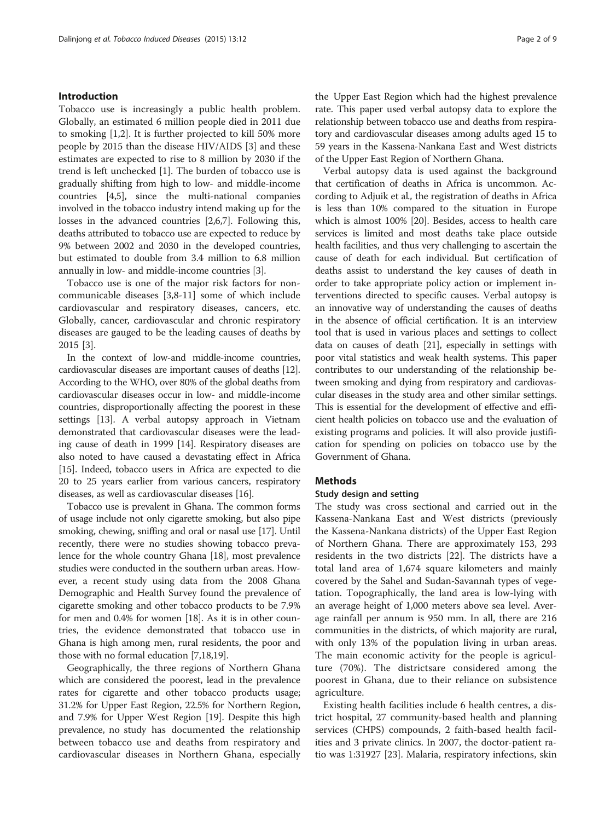## Introduction

Tobacco use is increasingly a public health problem. Globally, an estimated 6 million people died in 2011 due to smoking [\[1](#page-7-0)[,2](#page-8-0)]. It is further projected to kill 50% more people by 2015 than the disease HIV/AIDS [\[3](#page-8-0)] and these estimates are expected to rise to 8 million by 2030 if the trend is left unchecked [\[1](#page-7-0)]. The burden of tobacco use is gradually shifting from high to low- and middle-income countries [[4](#page-8-0),[5](#page-8-0)], since the multi-national companies involved in the tobacco industry intend making up for the losses in the advanced countries [\[2,6,7\]](#page-8-0). Following this, deaths attributed to tobacco use are expected to reduce by 9% between 2002 and 2030 in the developed countries, but estimated to double from 3.4 million to 6.8 million annually in low- and middle-income countries [\[3](#page-8-0)].

Tobacco use is one of the major risk factors for noncommunicable diseases [[3,8-11](#page-8-0)] some of which include cardiovascular and respiratory diseases, cancers, etc. Globally, cancer, cardiovascular and chronic respiratory diseases are gauged to be the leading causes of deaths by 2015 [\[3](#page-8-0)].

In the context of low-and middle-income countries, cardiovascular diseases are important causes of deaths [\[12](#page-8-0)]. According to the WHO, over 80% of the global deaths from cardiovascular diseases occur in low- and middle-income countries, disproportionally affecting the poorest in these settings [\[13](#page-8-0)]. A verbal autopsy approach in Vietnam demonstrated that cardiovascular diseases were the leading cause of death in 1999 [[14](#page-8-0)]. Respiratory diseases are also noted to have caused a devastating effect in Africa [[15](#page-8-0)]. Indeed, tobacco users in Africa are expected to die 20 to 25 years earlier from various cancers, respiratory diseases, as well as cardiovascular diseases [[16](#page-8-0)].

Tobacco use is prevalent in Ghana. The common forms of usage include not only cigarette smoking, but also pipe smoking, chewing, sniffing and oral or nasal use [\[17](#page-8-0)]. Until recently, there were no studies showing tobacco prevalence for the whole country Ghana [\[18\]](#page-8-0), most prevalence studies were conducted in the southern urban areas. However, a recent study using data from the 2008 Ghana Demographic and Health Survey found the prevalence of cigarette smoking and other tobacco products to be 7.9% for men and 0.4% for women [\[18\]](#page-8-0). As it is in other countries, the evidence demonstrated that tobacco use in Ghana is high among men, rural residents, the poor and those with no formal education [[7](#page-8-0),[18,19\]](#page-8-0).

Geographically, the three regions of Northern Ghana which are considered the poorest, lead in the prevalence rates for cigarette and other tobacco products usage; 31.2% for Upper East Region, 22.5% for Northern Region, and 7.9% for Upper West Region [[19](#page-8-0)]. Despite this high prevalence, no study has documented the relationship between tobacco use and deaths from respiratory and cardiovascular diseases in Northern Ghana, especially the Upper East Region which had the highest prevalence rate. This paper used verbal autopsy data to explore the relationship between tobacco use and deaths from respiratory and cardiovascular diseases among adults aged 15 to 59 years in the Kassena-Nankana East and West districts of the Upper East Region of Northern Ghana.

Verbal autopsy data is used against the background that certification of deaths in Africa is uncommon. According to Adjuik et al., the registration of deaths in Africa is less than 10% compared to the situation in Europe which is almost 100% [\[20\]](#page-8-0). Besides, access to health care services is limited and most deaths take place outside health facilities, and thus very challenging to ascertain the cause of death for each individual. But certification of deaths assist to understand the key causes of death in order to take appropriate policy action or implement interventions directed to specific causes. Verbal autopsy is an innovative way of understanding the causes of deaths in the absence of official certification. It is an interview tool that is used in various places and settings to collect data on causes of death [\[21](#page-8-0)], especially in settings with poor vital statistics and weak health systems. This paper contributes to our understanding of the relationship between smoking and dying from respiratory and cardiovascular diseases in the study area and other similar settings. This is essential for the development of effective and efficient health policies on tobacco use and the evaluation of existing programs and policies. It will also provide justification for spending on policies on tobacco use by the Government of Ghana.

## **Methods**

## Study design and setting

The study was cross sectional and carried out in the Kassena-Nankana East and West districts (previously the Kassena-Nankana districts) of the Upper East Region of Northern Ghana. There are approximately 153, 293 residents in the two districts [[22](#page-8-0)]. The districts have a total land area of 1,674 square kilometers and mainly covered by the Sahel and Sudan-Savannah types of vegetation. Topographically, the land area is low-lying with an average height of 1,000 meters above sea level. Average rainfall per annum is 950 mm. In all, there are 216 communities in the districts, of which majority are rural, with only 13% of the population living in urban areas. The main economic activity for the people is agriculture (70%). The districtsare considered among the poorest in Ghana, due to their reliance on subsistence agriculture.

Existing health facilities include 6 health centres, a district hospital, 27 community-based health and planning services (CHPS) compounds, 2 faith-based health facilities and 3 private clinics. In 2007, the doctor-patient ratio was 1:31927 [[23\]](#page-8-0). Malaria, respiratory infections, skin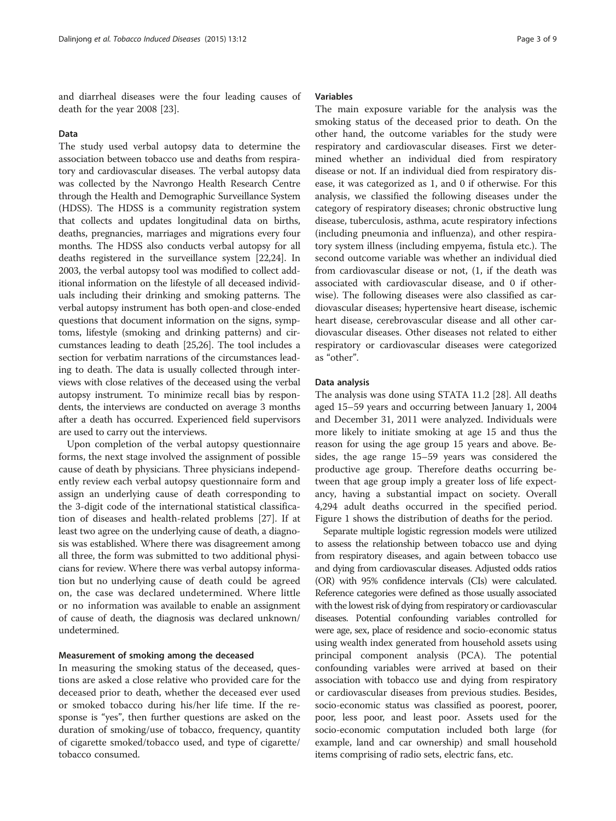and diarrheal diseases were the four leading causes of death for the year 2008 [\[23\]](#page-8-0).

## Data

The study used verbal autopsy data to determine the association between tobacco use and deaths from respiratory and cardiovascular diseases. The verbal autopsy data was collected by the Navrongo Health Research Centre through the Health and Demographic Surveillance System (HDSS). The HDSS is a community registration system that collects and updates longitudinal data on births, deaths, pregnancies, marriages and migrations every four months. The HDSS also conducts verbal autopsy for all deaths registered in the surveillance system [\[22,24\]](#page-8-0). In 2003, the verbal autopsy tool was modified to collect additional information on the lifestyle of all deceased individuals including their drinking and smoking patterns. The verbal autopsy instrument has both open-and close-ended questions that document information on the signs, symptoms, lifestyle (smoking and drinking patterns) and circumstances leading to death [\[25,26](#page-8-0)]. The tool includes a section for verbatim narrations of the circumstances leading to death. The data is usually collected through interviews with close relatives of the deceased using the verbal autopsy instrument. To minimize recall bias by respondents, the interviews are conducted on average 3 months after a death has occurred. Experienced field supervisors are used to carry out the interviews.

Upon completion of the verbal autopsy questionnaire forms, the next stage involved the assignment of possible cause of death by physicians. Three physicians independently review each verbal autopsy questionnaire form and assign an underlying cause of death corresponding to the 3-digit code of the international statistical classification of diseases and health-related problems [[27\]](#page-8-0). If at least two agree on the underlying cause of death, a diagnosis was established. Where there was disagreement among all three, the form was submitted to two additional physicians for review. Where there was verbal autopsy information but no underlying cause of death could be agreed on, the case was declared undetermined. Where little or no information was available to enable an assignment of cause of death, the diagnosis was declared unknown/ undetermined.

## Measurement of smoking among the deceased

In measuring the smoking status of the deceased, questions are asked a close relative who provided care for the deceased prior to death, whether the deceased ever used or smoked tobacco during his/her life time. If the response is "yes", then further questions are asked on the duration of smoking/use of tobacco, frequency, quantity of cigarette smoked/tobacco used, and type of cigarette/ tobacco consumed.

#### Variables

The main exposure variable for the analysis was the smoking status of the deceased prior to death. On the other hand, the outcome variables for the study were respiratory and cardiovascular diseases. First we determined whether an individual died from respiratory disease or not. If an individual died from respiratory disease, it was categorized as 1, and 0 if otherwise. For this analysis, we classified the following diseases under the category of respiratory diseases; chronic obstructive lung disease, tuberculosis, asthma, acute respiratory infections (including pneumonia and influenza), and other respiratory system illness (including empyema, fistula etc.). The second outcome variable was whether an individual died from cardiovascular disease or not, (1, if the death was associated with cardiovascular disease, and 0 if otherwise). The following diseases were also classified as cardiovascular diseases; hypertensive heart disease, ischemic heart disease, cerebrovascular disease and all other cardiovascular diseases. Other diseases not related to either respiratory or cardiovascular diseases were categorized as "other".

## Data analysis

The analysis was done using STATA 11.2 [\[28](#page-8-0)]. All deaths aged 15–59 years and occurring between January 1, 2004 and December 31, 2011 were analyzed. Individuals were more likely to initiate smoking at age 15 and thus the reason for using the age group 15 years and above. Besides, the age range 15–59 years was considered the productive age group. Therefore deaths occurring between that age group imply a greater loss of life expectancy, having a substantial impact on society. Overall 4,294 adult deaths occurred in the specified period. Figure [1](#page-3-0) shows the distribution of deaths for the period.

Separate multiple logistic regression models were utilized to assess the relationship between tobacco use and dying from respiratory diseases, and again between tobacco use and dying from cardiovascular diseases. Adjusted odds ratios (OR) with 95% confidence intervals (CIs) were calculated. Reference categories were defined as those usually associated with the lowest risk of dying from respiratory or cardiovascular diseases. Potential confounding variables controlled for were age, sex, place of residence and socio-economic status using wealth index generated from household assets using principal component analysis (PCA). The potential confounding variables were arrived at based on their association with tobacco use and dying from respiratory or cardiovascular diseases from previous studies. Besides, socio-economic status was classified as poorest, poorer, poor, less poor, and least poor. Assets used for the socio-economic computation included both large (for example, land and car ownership) and small household items comprising of radio sets, electric fans, etc.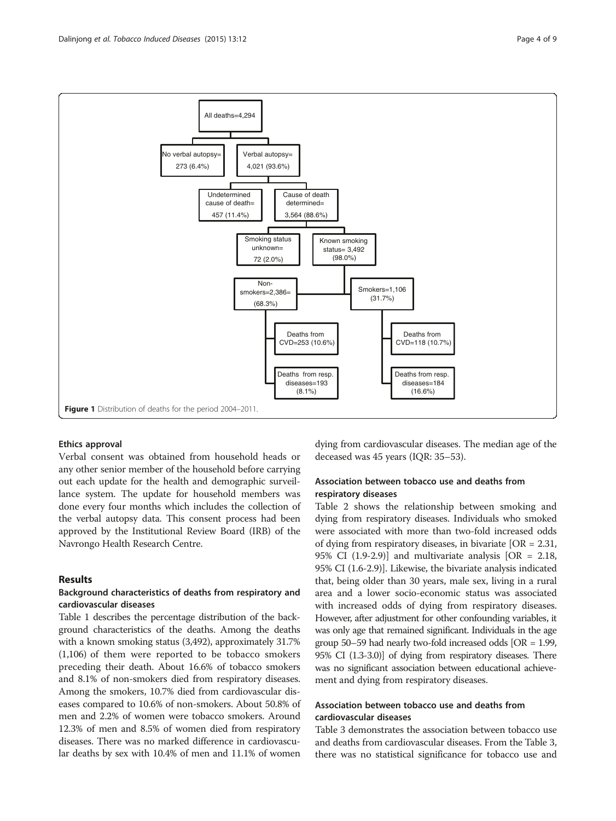<span id="page-3-0"></span>

## Ethics approval

Verbal consent was obtained from household heads or any other senior member of the household before carrying out each update for the health and demographic surveillance system. The update for household members was done every four months which includes the collection of the verbal autopsy data. This consent process had been approved by the Institutional Review Board (IRB) of the Navrongo Health Research Centre.

## Results

## Background characteristics of deaths from respiratory and cardiovascular diseases

Table [1](#page-4-0) describes the percentage distribution of the background characteristics of the deaths. Among the deaths with a known smoking status (3,492), approximately 31.7% (1,106) of them were reported to be tobacco smokers preceding their death. About 16.6% of tobacco smokers and 8.1% of non-smokers died from respiratory diseases. Among the smokers, 10.7% died from cardiovascular diseases compared to 10.6% of non-smokers. About 50.8% of men and 2.2% of women were tobacco smokers. Around 12.3% of men and 8.5% of women died from respiratory diseases. There was no marked difference in cardiovascular deaths by sex with 10.4% of men and 11.1% of women

dying from cardiovascular diseases. The median age of the deceased was 45 years (IQR: 35–53).

## Association between tobacco use and deaths from respiratory diseases

Table [2](#page-5-0) shows the relationship between smoking and dying from respiratory diseases. Individuals who smoked were associated with more than two-fold increased odds of dying from respiratory diseases, in bivariate  $[OR = 2.31]$ , 95% CI  $(1.9-2.9)$ ] and multivariate analysis  $[OR = 2.18,$ 95% CI (1.6-2.9)]. Likewise, the bivariate analysis indicated that, being older than 30 years, male sex, living in a rural area and a lower socio-economic status was associated with increased odds of dying from respiratory diseases. However, after adjustment for other confounding variables, it was only age that remained significant. Individuals in the age group 50–59 had nearly two-fold increased odds  $[OR = 1.99]$ , 95% CI (1.3-3.0)] of dying from respiratory diseases. There was no significant association between educational achievement and dying from respiratory diseases.

## Association between tobacco use and deaths from cardiovascular diseases

Table [3](#page-6-0) demonstrates the association between tobacco use and deaths from cardiovascular diseases. From the Table [3](#page-6-0), there was no statistical significance for tobacco use and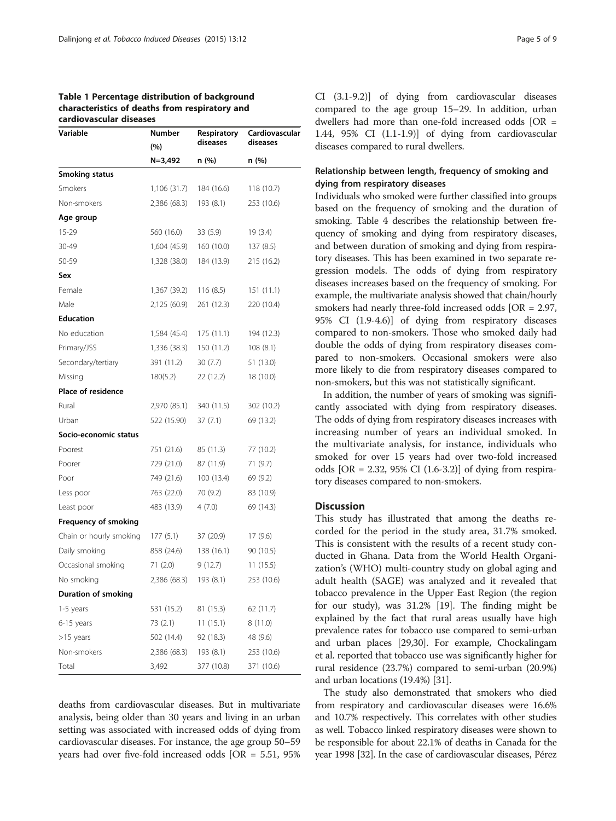<span id="page-4-0"></span>

| Table 1 Percentage distribution of background  |
|------------------------------------------------|
| characteristics of deaths from respiratory and |
| cardiovascular diseases                        |

| Variable                    | Number       | Respiratory | Cardiovascular |  |
|-----------------------------|--------------|-------------|----------------|--|
|                             | (%)          | diseases    | diseases       |  |
|                             | N=3,492      | n (%)       | n (%)          |  |
| <b>Smoking status</b>       |              |             |                |  |
| Smokers                     | 1,106 (31.7) | 184 (16.6)  | 118 (10.7)     |  |
| Non-smokers                 | 2,386 (68.3) | 193 (8.1)   | 253 (10.6)     |  |
| Age group                   |              |             |                |  |
| 15-29                       | 560 (16.0)   | 33 (5.9)    | 19 (3.4)       |  |
| 30-49                       | 1,604 (45.9) | 160 (10.0)  | 137 (8.5)      |  |
| 50-59                       | 1,328 (38.0) | 184 (13.9)  | 215 (16.2)     |  |
| Sex                         |              |             |                |  |
| Female                      | 1,367 (39.2) | 116 (8.5)   | 151 (11.1)     |  |
| Male                        | 2,125 (60.9) | 261 (12.3)  | 220 (10.4)     |  |
| <b>Education</b>            |              |             |                |  |
| No education                | 1,584 (45.4) | 175 (11.1)  | 194 (12.3)     |  |
| Primary/JSS                 | 1,336 (38.3) | 150 (11.2)  | 108(8.1)       |  |
| Secondary/tertiary          | 391 (11.2)   | 30(7.7)     | 51 (13.0)      |  |
| Missing                     | 180(5.2)     | 22 (12.2)   | 18 (10.0)      |  |
| <b>Place of residence</b>   |              |             |                |  |
| Rural                       | 2,970 (85.1) | 340 (11.5)  | 302 (10.2)     |  |
| Urban                       | 522 (15.90)  | 37 (7.1)    | 69 (13.2)      |  |
| Socio-economic status       |              |             |                |  |
| Poorest                     | 751 (21.6)   | 85 (11.3)   | 77 (10.2)      |  |
| Poorer                      | 729 (21.0)   | 87 (11.9)   | 71 (9.7)       |  |
| Poor                        | 749 (21.6)   | 100 (13.4)  | 69 (9.2)       |  |
| Less poor                   | 763 (22.0)   | 70 (9.2)    | 83 (10.9)      |  |
| Least poor                  | 483 (13.9)   | 4 (7.0)     | 69 (14.3)      |  |
| <b>Frequency of smoking</b> |              |             |                |  |
| Chain or hourly smoking     | 177(5.1)     | 37 (20.9)   | 17 (9.6)       |  |
| Daily smoking               | 858 (24.6)   | 138 (16.1)  | 90 (10.5)      |  |
| Occasional smoking          | 71 (2.0)     | 9 (12.7)    | 11 (15.5)      |  |
| No smoking                  | 2,386 (68.3) | 193 (8.1)   | 253 (10.6)     |  |
| Duration of smoking         |              |             |                |  |
| 1-5 years                   | 531 (15.2)   | 81 (15.3)   | 62 (11.7)      |  |
| 6-15 years                  | 73 (2.1)     | 11(15.1)    | 8(11.0)        |  |
| >15 years                   | 502 (14.4)   | 92 (18.3)   | 48 (9.6)       |  |
| Non-smokers                 | 2,386 (68.3) | 193 (8.1)   | 253 (10.6)     |  |
| Total                       | 3,492        | 377 (10.8)  | 371 (10.6)     |  |

deaths from cardiovascular diseases. But in multivariate analysis, being older than 30 years and living in an urban setting was associated with increased odds of dying from cardiovascular diseases. For instance, the age group 50–59 years had over five-fold increased odds [OR = 5.51, 95% CI (3.1-9.2)] of dying from cardiovascular diseases compared to the age group 15–29. In addition, urban dwellers had more than one-fold increased odds [OR = 1.44, 95% CI (1.1-1.9)] of dying from cardiovascular diseases compared to rural dwellers.

## Relationship between length, frequency of smoking and dying from respiratory diseases

Individuals who smoked were further classified into groups based on the frequency of smoking and the duration of smoking. Table [4](#page-6-0) describes the relationship between frequency of smoking and dying from respiratory diseases, and between duration of smoking and dying from respiratory diseases. This has been examined in two separate regression models. The odds of dying from respiratory diseases increases based on the frequency of smoking. For example, the multivariate analysis showed that chain/hourly smokers had nearly three-fold increased odds [OR = 2.97, 95% CI (1.9-4.6)] of dying from respiratory diseases compared to non-smokers. Those who smoked daily had double the odds of dying from respiratory diseases compared to non-smokers. Occasional smokers were also more likely to die from respiratory diseases compared to non-smokers, but this was not statistically significant.

In addition, the number of years of smoking was significantly associated with dying from respiratory diseases. The odds of dying from respiratory diseases increases with increasing number of years an individual smoked. In the multivariate analysis, for instance, individuals who smoked for over 15 years had over two-fold increased odds  $[OR = 2.32, 95\% \text{ CI } (1.6-3.2)]$  of dying from respiratory diseases compared to non-smokers.

## **Discussion**

This study has illustrated that among the deaths recorded for the period in the study area, 31.7% smoked. This is consistent with the results of a recent study conducted in Ghana. Data from the World Health Organization's (WHO) multi-country study on global aging and adult health (SAGE) was analyzed and it revealed that tobacco prevalence in the Upper East Region (the region for our study), was 31.2% [\[19\]](#page-8-0). The finding might be explained by the fact that rural areas usually have high prevalence rates for tobacco use compared to semi-urban and urban places [[29,30](#page-8-0)]. For example, Chockalingam et al. reported that tobacco use was significantly higher for rural residence (23.7%) compared to semi-urban (20.9%) and urban locations (19.4%) [[31](#page-8-0)].

The study also demonstrated that smokers who died from respiratory and cardiovascular diseases were 16.6% and 10.7% respectively. This correlates with other studies as well. Tobacco linked respiratory diseases were shown to be responsible for about 22.1% of deaths in Canada for the year 1998 [\[32](#page-8-0)]. In the case of cardiovascular diseases, Pérez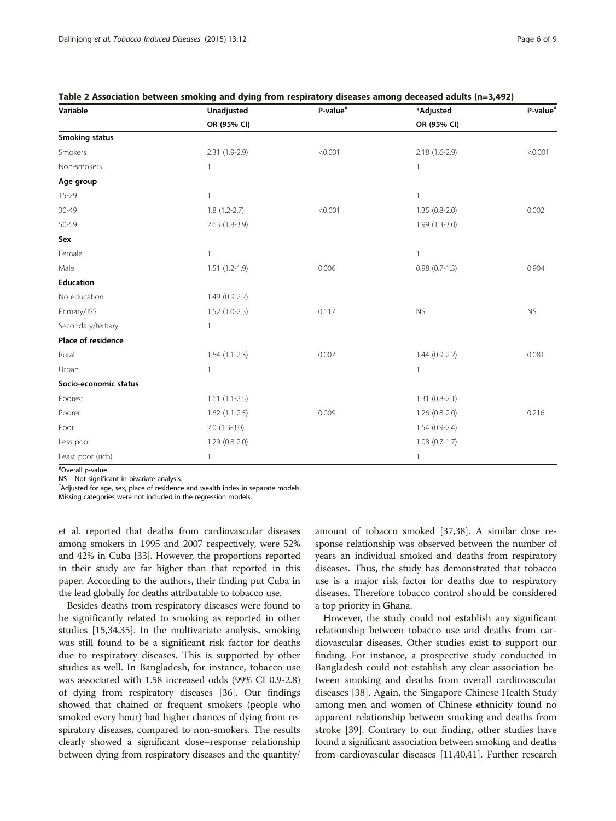| Variable              | Unadjusted       | $P-value^{\overline{*}}$ | *Adjusted       | $P$ -value <sup>#</sup> |
|-----------------------|------------------|--------------------------|-----------------|-------------------------|
|                       | OR (95% CI)      |                          | OR (95% CI)     |                         |
| Smoking status        |                  |                          |                 |                         |
| Smokers               | 2.31 (1.9-2.9)   | < 0.001                  | $2.18(1.6-2.9)$ | < 0.001                 |
| Non-smokers           | $\mathbf{1}$     |                          |                 |                         |
| Age group             |                  |                          |                 |                         |
| 15-29                 | $\overline{1}$   |                          |                 |                         |
| 30-49                 | $1.8(1.2 - 2.7)$ | < 0.001                  | 1.35 (0.8-2.0)  | 0.002                   |
| 50-59                 | 2.63 (1.8-3.9)   |                          | 1.99 (1.3-3.0)  |                         |
| Sex                   |                  |                          |                 |                         |
| Female                | $\overline{1}$   |                          |                 |                         |
| Male                  | $1.51(1.2-1.9)$  | 0.006                    | $0.98(0.7-1.3)$ | 0.904                   |
| Education             |                  |                          |                 |                         |
| No education          | $1.49(0.9-2.2)$  |                          |                 |                         |
| Primary/JSS           | $1.52(1.0-2.3)$  | 0.117                    | <b>NS</b>       | <b>NS</b>               |
| Secondary/tertiary    | 1                |                          |                 |                         |
| Place of residence    |                  |                          |                 |                         |
| Rural                 | $1.64(1.1-2.3)$  | 0.007                    | $1.44(0.9-2.2)$ | 0.081                   |
| Urban                 | $\mathbf{1}$     |                          |                 |                         |
| Socio-economic status |                  |                          |                 |                         |
| Poorest               | $1.61(1.1-2.5)$  |                          | $1.31(0.8-2.1)$ |                         |
| Poorer                | $1.62(1.1-2.5)$  | 0.009                    | $1.26(0.8-2.0)$ | 0.216                   |
| Poor                  | $2.0(1.3-3.0)$   |                          | $1.54(0.9-2.4)$ |                         |
| Less poor             | $1.29(0.8-2.0)$  |                          | $1.08(0.7-1.7)$ |                         |
| Least poor (rich)     | $\mathbf{1}$     |                          | $\mathbf{1}$    |                         |

<span id="page-5-0"></span>Table 2 Association between smoking and dying from respiratory diseases among deceased adults (n=3,492)

# Overall p-value. NS - Not significant in bivariate analysis.

Adjusted for age, sex, place of residence and wealth index in separate models.

Missing categories were not included in the regression models.

et al. reported that deaths from cardiovascular diseases among smokers in 1995 and 2007 respectively, were 52% and 42% in Cuba [[33](#page-8-0)]. However, the proportions reported in their study are far higher than that reported in this paper. According to the authors, their finding put Cuba in the lead globally for deaths attributable to tobacco use.

Besides deaths from respiratory diseases were found to be significantly related to smoking as reported in other studies [\[15,34,35\]](#page-8-0). In the multivariate analysis, smoking was still found to be a significant risk factor for deaths due to respiratory diseases. This is supported by other studies as well. In Bangladesh, for instance, tobacco use was associated with 1.58 increased odds (99% CI 0.9-2.8) of dying from respiratory diseases [\[36\]](#page-8-0). Our findings showed that chained or frequent smokers (people who smoked every hour) had higher chances of dying from respiratory diseases, compared to non-smokers. The results clearly showed a significant dose–response relationship between dying from respiratory diseases and the quantity/ amount of tobacco smoked [[37,38\]](#page-8-0). A similar dose response relationship was observed between the number of years an individual smoked and deaths from respiratory diseases. Thus, the study has demonstrated that tobacco use is a major risk factor for deaths due to respiratory diseases. Therefore tobacco control should be considered a top priority in Ghana.

However, the study could not establish any significant relationship between tobacco use and deaths from cardiovascular diseases. Other studies exist to support our finding. For instance, a prospective study conducted in Bangladesh could not establish any clear association between smoking and deaths from overall cardiovascular diseases [\[38](#page-8-0)]. Again, the Singapore Chinese Health Study among men and women of Chinese ethnicity found no apparent relationship between smoking and deaths from stroke [[39\]](#page-8-0). Contrary to our finding, other studies have found a significant association between smoking and deaths from cardiovascular diseases [[11,40,41\]](#page-8-0). Further research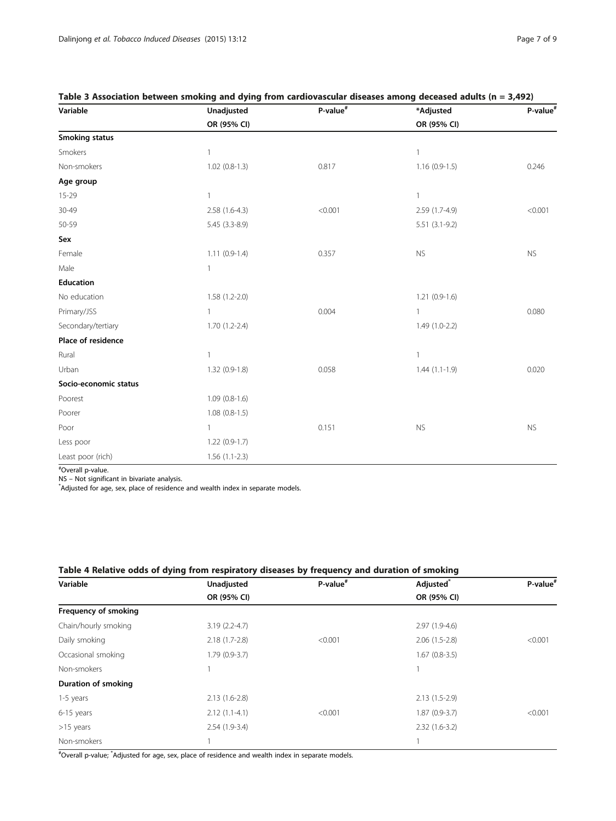| Variable              | Unadjusted       | $P$ -value <sup>#</sup> | *Adjusted       | $P$ -value <sup>#</sup> |
|-----------------------|------------------|-------------------------|-----------------|-------------------------|
|                       | OR (95% CI)      |                         | OR (95% CI)     |                         |
| <b>Smoking status</b> |                  |                         |                 |                         |
| Smokers               | $\mathbf{1}$     |                         | 1               |                         |
| Non-smokers           | $1.02$ (0.8-1.3) | 0.817                   | $1.16(0.9-1.5)$ | 0.246                   |
| Age group             |                  |                         |                 |                         |
| 15-29                 | 1                |                         |                 |                         |
| 30-49                 | $2.58(1.6-4.3)$  | < 0.001                 | 2.59 (1.7-4.9)  | < 0.001                 |
| 50-59                 | 5.45 (3.3-8.9)   |                         | 5.51 (3.1-9.2)  |                         |
| Sex                   |                  |                         |                 |                         |
| Female                | $1.11(0.9-1.4)$  | 0.357                   | <b>NS</b>       | <b>NS</b>               |
| Male                  | 1                |                         |                 |                         |
| Education             |                  |                         |                 |                         |
| No education          | 1.58 (1.2-2.0)   |                         | $1.21(0.9-1.6)$ |                         |
| Primary/JSS           | 1                | 0.004                   |                 | 0.080                   |
| Secondary/tertiary    | $1.70(1.2-2.4)$  |                         | $1.49(1.0-2.2)$ |                         |
| Place of residence    |                  |                         |                 |                         |
| Rural                 | 1                |                         |                 |                         |
| Urban                 | $1.32(0.9-1.8)$  | 0.058                   | $1.44(1.1-1.9)$ | 0.020                   |
| Socio-economic status |                  |                         |                 |                         |
| Poorest               | $1.09(0.8-1.6)$  |                         |                 |                         |
| Poorer                | $1.08(0.8-1.5)$  |                         |                 |                         |
| Poor                  | $\mathbf{1}$     | 0.151                   | <b>NS</b>       | <b>NS</b>               |
| Less poor             | $1.22(0.9-1.7)$  |                         |                 |                         |
| Least poor (rich)     | $1.56(1.1-2.3)$  |                         |                 |                         |

<span id="page-6-0"></span>

| Table 3 Association between smoking and dying from cardiovascular diseases among deceased adults ( $n = 3,492$ ) |  |  |
|------------------------------------------------------------------------------------------------------------------|--|--|
|------------------------------------------------------------------------------------------------------------------|--|--|

# Overall p-value.

NS – Not significant in bivariate analysis.

Adjusted for age, sex, place of residence and wealth index in separate models.

## Table 4 Relative odds of dying from respiratory diseases by frequency and duration of smoking

| Variable             | Unadjusted        | $P-value$ <sup>#</sup> | Adjusted <sup>®</sup> | P-value <sup>#</sup> |
|----------------------|-------------------|------------------------|-----------------------|----------------------|
|                      | OR (95% CI)       |                        | OR (95% CI)           |                      |
| Frequency of smoking |                   |                        |                       |                      |
| Chain/hourly smoking | $3.19(2.2 - 4.7)$ |                        | $2.97(1.9-4.6)$       |                      |
| Daily smoking        | $2.18(1.7-2.8)$   | < 0.001                | $2.06(1.5-2.8)$       | < 0.001              |
| Occasional smoking   | $1.79(0.9-3.7)$   |                        | $1.67(0.8-3.5)$       |                      |
| Non-smokers          |                   |                        |                       |                      |
| Duration of smoking  |                   |                        |                       |                      |
| 1-5 years            | $2.13(1.6-2.8)$   |                        | $2.13(1.5-2.9)$       |                      |
| 6-15 years           | $2.12(1.1-4.1)$   | < 0.001                | $1.87(0.9-3.7)$       | < 0.001              |
| $>15$ years          | $2.54(1.9-3.4)$   |                        | $2.32(1.6-3.2)$       |                      |
| Non-smokers          |                   |                        |                       |                      |

# Overall p-value; \* Adjusted for age, sex, place of residence and wealth index in separate models.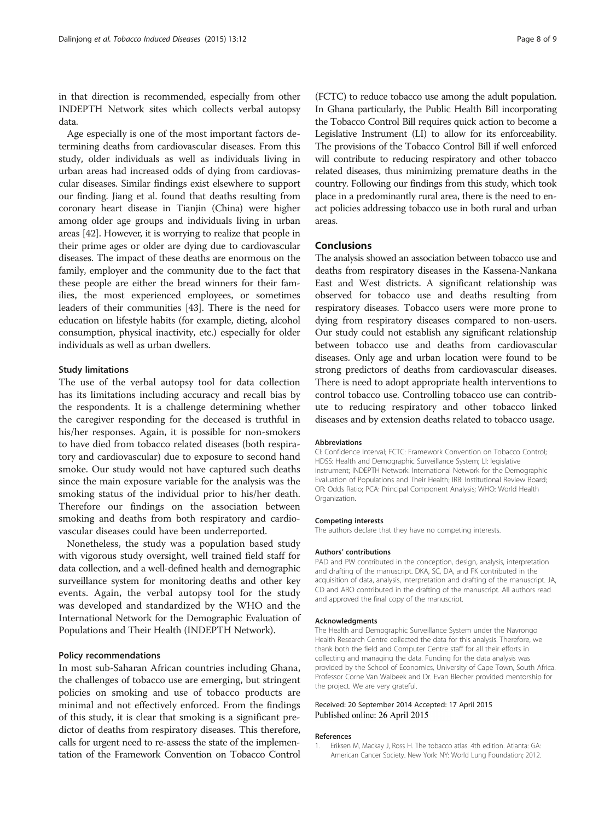<span id="page-7-0"></span>in that direction is recommended, especially from other INDEPTH Network sites which collects verbal autopsy data.

Age especially is one of the most important factors determining deaths from cardiovascular diseases. From this study, older individuals as well as individuals living in urban areas had increased odds of dying from cardiovascular diseases. Similar findings exist elsewhere to support our finding. Jiang et al. found that deaths resulting from coronary heart disease in Tianjin (China) were higher among older age groups and individuals living in urban areas [[42](#page-8-0)]. However, it is worrying to realize that people in their prime ages or older are dying due to cardiovascular diseases. The impact of these deaths are enormous on the family, employer and the community due to the fact that these people are either the bread winners for their families, the most experienced employees, or sometimes leaders of their communities [\[43](#page-8-0)]. There is the need for education on lifestyle habits (for example, dieting, alcohol consumption, physical inactivity, etc.) especially for older individuals as well as urban dwellers.

#### Study limitations

The use of the verbal autopsy tool for data collection has its limitations including accuracy and recall bias by the respondents. It is a challenge determining whether the caregiver responding for the deceased is truthful in his/her responses. Again, it is possible for non-smokers to have died from tobacco related diseases (both respiratory and cardiovascular) due to exposure to second hand smoke. Our study would not have captured such deaths since the main exposure variable for the analysis was the smoking status of the individual prior to his/her death. Therefore our findings on the association between smoking and deaths from both respiratory and cardiovascular diseases could have been underreported.

Nonetheless, the study was a population based study with vigorous study oversight, well trained field staff for data collection, and a well-defined health and demographic surveillance system for monitoring deaths and other key events. Again, the verbal autopsy tool for the study was developed and standardized by the WHO and the International Network for the Demographic Evaluation of Populations and Their Health (INDEPTH Network).

## Policy recommendations

In most sub-Saharan African countries including Ghana, the challenges of tobacco use are emerging, but stringent policies on smoking and use of tobacco products are minimal and not effectively enforced. From the findings of this study, it is clear that smoking is a significant predictor of deaths from respiratory diseases. This therefore, calls for urgent need to re-assess the state of the implementation of the Framework Convention on Tobacco Control (FCTC) to reduce tobacco use among the adult population. In Ghana particularly, the Public Health Bill incorporating the Tobacco Control Bill requires quick action to become a Legislative Instrument (LI) to allow for its enforceability. The provisions of the Tobacco Control Bill if well enforced will contribute to reducing respiratory and other tobacco related diseases, thus minimizing premature deaths in the country. Following our findings from this study, which took place in a predominantly rural area, there is the need to enact policies addressing tobacco use in both rural and urban areas.

## Conclusions

The analysis showed an association between tobacco use and deaths from respiratory diseases in the Kassena-Nankana East and West districts. A significant relationship was observed for tobacco use and deaths resulting from respiratory diseases. Tobacco users were more prone to dying from respiratory diseases compared to non-users. Our study could not establish any significant relationship between tobacco use and deaths from cardiovascular diseases. Only age and urban location were found to be strong predictors of deaths from cardiovascular diseases. There is need to adopt appropriate health interventions to control tobacco use. Controlling tobacco use can contribute to reducing respiratory and other tobacco linked diseases and by extension deaths related to tobacco usage.

#### Abbreviations

CI: Confidence Interval; FCTC: Framework Convention on Tobacco Control; HDSS: Health and Demographic Surveillance System; LI: legislative instrument; INDEPTH Network: International Network for the Demographic Evaluation of Populations and Their Health; IRB: Institutional Review Board; OR: Odds Ratio; PCA: Principal Component Analysis; WHO: World Health Organization.

#### Competing interests

The authors declare that they have no competing interests.

#### Authors' contributions

PAD and PW contributed in the conception, design, analysis, interpretation and drafting of the manuscript. DKA, SC, DA, and FK contributed in the acquisition of data, analysis, interpretation and drafting of the manuscript. JA, CD and ARO contributed in the drafting of the manuscript. All authors read and approved the final copy of the manuscript.

#### Acknowledgments

The Health and Demographic Surveillance System under the Navrongo Health Research Centre collected the data for this analysis. Therefore, we thank both the field and Computer Centre staff for all their efforts in collecting and managing the data. Funding for the data analysis was provided by the School of Economics, University of Cape Town, South Africa. Professor Corne Van Walbeek and Dr. Evan Blecher provided mentorship for the project. We are very grateful.

#### Received: 20 September 2014 Accepted: 17 April 2015 Published online: 26 April 2015

#### References

1. Eriksen M, Mackay J, Ross H. The tobacco atlas. 4th edition. Atlanta: GA: American Cancer Society. New York: NY: World Lung Foundation; 2012.